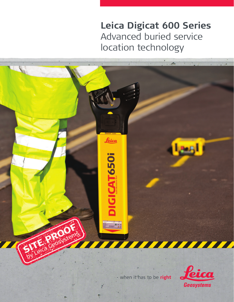**Leica Digicat 600 Series** Advanced buried service location technology



- when it has to be right